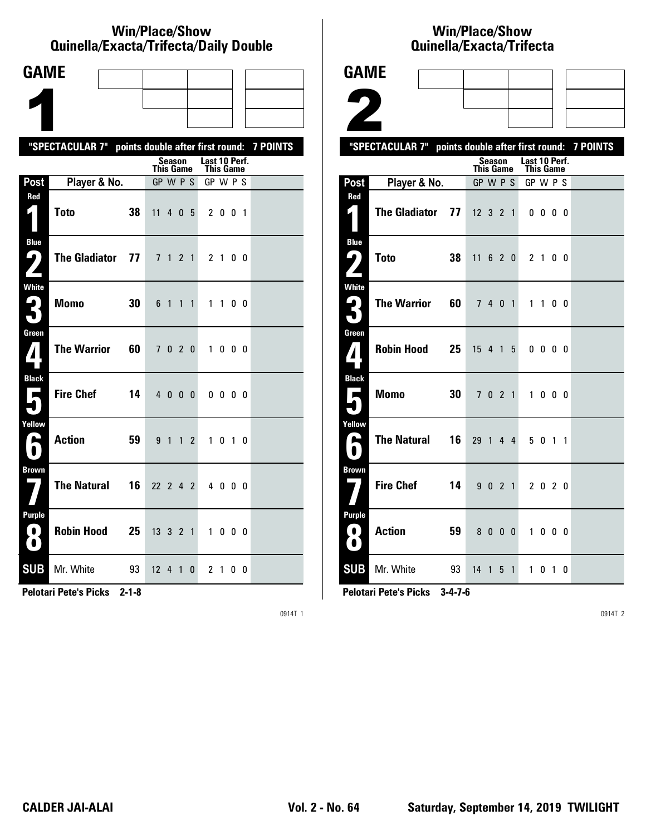#### **Win/Place/Show Qui nel la/Exacta/Tri fecta/Daily Dou ble**

| <b>GAME</b>                                     |                                                           |                                                  |                             |  |
|-------------------------------------------------|-----------------------------------------------------------|--------------------------------------------------|-----------------------------|--|
|                                                 |                                                           |                                                  |                             |  |
|                                                 |                                                           |                                                  |                             |  |
|                                                 | "SPECTACULAR 7" points double after first round: 7 POINTS |                                                  |                             |  |
|                                                 |                                                           | Season<br><b>This Game</b>                       | Last 10 Perf.<br>This Game  |  |
| Post                                            | Player & No.                                              | GP W P S                                         | GP W P S                    |  |
| Red                                             | <b>Toto</b><br>38                                         | 11<br>4 0 5                                      | 2 0 0 1                     |  |
| <b>Blue</b><br>91<br>$\overline{\phantom{a}}$   | The Gladiator 77                                          | 7 <sub>1</sub><br>2 <sub>1</sub>                 | 21<br>0 <sub>0</sub>        |  |
| <b>White</b><br><b>R</b>                        | <b>Momo</b><br>30                                         | 6 1<br>$\overline{1}$<br>$\mathbf{1}$            | $1\quad1$<br>0 <sub>0</sub> |  |
| Green<br>$\boldsymbol{I}$                       | <b>The Warrior</b><br>60                                  | 7020                                             | 1000                        |  |
| <b>Black</b><br>$\overline{\phantom{a}}$        | <b>Fire Chef</b><br>14                                    | 4000                                             | 0000                        |  |
| Yellow<br>►                                     | <b>Action</b><br>59                                       | 9 <sub>1</sub><br>$\mathbf{1}$<br>$\overline{c}$ | 1 0 1 0                     |  |
| <b>Brown</b>                                    | <b>The Natural</b><br>16                                  | 22 2 4 2                                         | 4000                        |  |
| <b>Purple</b><br>$\left( 0\right)$<br>$\bullet$ | <b>Robin Hood</b><br>25                                   | 13 3 2 1                                         | 1000                        |  |
| <b>SUB</b>                                      | Mr. White<br>93                                           | 12 4 1<br>0                                      | 2 1<br>00                   |  |

**Pelotari Pete's Picks 2-1-8**

0914T 1

# **Win/Place/Show Quinella/Exacta/Trifecta**

| <b>GAME</b>                                       |                                                           |    |                  |         |   |                         |                                   |                   |                |  |
|---------------------------------------------------|-----------------------------------------------------------|----|------------------|---------|---|-------------------------|-----------------------------------|-------------------|----------------|--|
|                                                   |                                                           |    |                  |         |   |                         |                                   |                   |                |  |
|                                                   |                                                           |    |                  |         |   |                         |                                   |                   |                |  |
|                                                   | "SPECTACULAR 7" points double after first round: 7 POINTS |    |                  |         |   |                         |                                   |                   |                |  |
|                                                   |                                                           |    | <b>This Game</b> | Season  |   |                         | Last 10 Perf.<br><b>This Game</b> |                   |                |  |
| Post                                              | Player & No.                                              |    | GP W P S         |         |   |                         | GP W P S                          |                   |                |  |
| Red<br>И.                                         | <b>The Gladiator</b>                                      | 77 | $12$ 3 2 1       |         |   |                         |                                   | $0\,0\,0\,0$      |                |  |
| <b>Blue</b><br>9)                                 | <b>Toto</b>                                               | 38 | 11 6 2 0         |         |   |                         | 2 <sub>1</sub>                    |                   | 0 <sub>0</sub> |  |
| <b>White</b>                                      | <b>The Warrior</b>                                        | 60 |                  | 7 4 0 1 |   |                         |                                   | 1 1 0 0           |                |  |
| Green<br>$\mathbf{Z}$                             | <b>Robin Hood</b>                                         | 25 | 15 4 1           |         |   | 5                       |                                   | $0\,0\,0\,0$      |                |  |
| <b>Black</b>                                      | <b>Momo</b>                                               | 30 |                  | 7 0 2 1 |   |                         | $\mathbf{1}$                      | $0\quad 0\quad 0$ |                |  |
| Yellow<br>А<br>$\bullet$                          | <b>The Natural</b>                                        | 16 | 29 1 4 4         |         |   |                         |                                   | 5 0 1 1           |                |  |
| <b>Brown</b>                                      | <b>Fire Chef</b>                                          | 14 |                  | 9 0 2 1 |   |                         |                                   | 2 0 2 0           |                |  |
| <b>Purple</b><br>$\blacksquare$<br>$\blacksquare$ | <b>Action</b>                                             | 59 |                  | 80      | 0 | $\overline{\mathbf{0}}$ | $\mathbf{1}$                      | $0\quad 0\quad 0$ |                |  |
|                                                   | <b>SUB</b> Mr. White                                      | 93 | 14 1 5 1         |         |   |                         |                                   | 1010              |                |  |

**Pelotari Pete's Picks 3-4-7-6**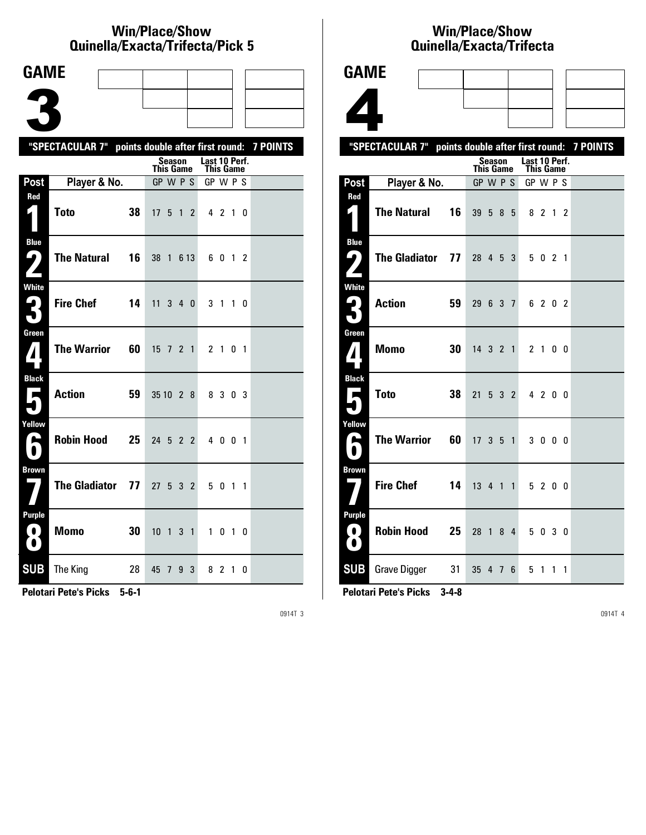### **Win/Place/Show Qui nel la/Exacta/Tri fecta/Pick 5**

| <b>GAME</b>                                             |                                                           |    |                              |               |                |                |                       |         |           |  |
|---------------------------------------------------------|-----------------------------------------------------------|----|------------------------------|---------------|----------------|----------------|-----------------------|---------|-----------|--|
|                                                         |                                                           |    |                              |               |                |                |                       |         |           |  |
|                                                         |                                                           |    |                              |               |                |                |                       |         |           |  |
|                                                         |                                                           |    |                              |               |                |                |                       |         |           |  |
|                                                         | "SPECTACULAR 7" points double after first round: 7 POINTS |    |                              | <b>Season</b> |                |                | Last 10 Perf.         |         |           |  |
| Post                                                    | Player & No.                                              |    | <b>This Game</b><br>GP W P S |               |                |                | This Game<br>GP W P S |         |           |  |
| Red                                                     |                                                           |    |                              |               |                |                |                       |         |           |  |
| $\mathbf{r}$                                            | Toto                                                      | 38 | 17 <sub>5</sub>              |               | $\overline{1}$ | $\overline{2}$ |                       | 4 2 1 0 |           |  |
| <b>Blue</b><br>9                                        | <b>The Natural</b>                                        | 16 | 38 1                         |               |                | 6 13           |                       | 6012    |           |  |
| <b>White</b><br>$\blacktriangleright$<br>$\blacksquare$ | <b>Fire Chef</b>                                          | 14 | 11                           | 3             | 4 0            |                |                       | 3 1     | $1\quad0$ |  |
| Green<br>$\boldsymbol{I}$                               | <b>The Warrior</b>                                        | 60 | 15 7 2 1                     |               |                |                |                       | 2 1 0 1 |           |  |
| <b>Black</b><br>ш                                       | <b>Action</b>                                             | 59 | 35 10 2 8                    |               |                |                |                       | 8 3 0 3 |           |  |
| Yellow<br>H                                             | <b>Robin Hood</b>                                         | 25 | 24                           | 5             |                | 2 2            |                       | 4001    |           |  |
| <b>Brown</b>                                            | <b>The Gladiator</b>                                      | 77 | 27 <sub>2</sub>              | 5 3 2         |                |                |                       | 5 0 1   | 1         |  |
| Purple<br>0<br>$\bullet$                                | <b>Momo</b>                                               | 30 | 10 <sub>1</sub>              |               | 3 <sub>1</sub> |                |                       | 1010    |           |  |
| <b>SUB</b>                                              | The King                                                  | 28 | 45 7                         |               | 9              | 3              |                       | 8 2 1 0 |           |  |

**Pelotari Pete's Picks 5-6-1**

0914T 3

## **Win/Place/Show Qui nel la/Exacta/Tri fecta**

|                             | QUIIIBIId/EXACLA/ ITIIBCLA                                |    |                  |               |  |                  |         |  |
|-----------------------------|-----------------------------------------------------------|----|------------------|---------------|--|------------------|---------|--|
| <b>GAME</b>                 |                                                           |    |                  |               |  |                  |         |  |
|                             |                                                           |    |                  |               |  |                  |         |  |
|                             |                                                           |    |                  |               |  |                  |         |  |
|                             |                                                           |    |                  |               |  |                  |         |  |
|                             | "SPECTACULAR 7" points double after first round: 7 POINTS |    |                  | <b>Season</b> |  | Last 10 Perf.    |         |  |
|                             |                                                           |    | <b>This Game</b> |               |  | <b>This Game</b> |         |  |
| Post<br><b>Red</b>          | Player & No.                                              |    | GP W P S         |               |  | GP W P S         |         |  |
| ⊵                           | <b>The Natural</b>                                        | 16 | 39 5 8 5         |               |  | 8 2 1 2          |         |  |
| <b>Blue</b>                 |                                                           |    |                  |               |  |                  |         |  |
| 5                           | <b>The Gladiator 77 28 4 5 3</b>                          |    |                  |               |  | 5021             |         |  |
| <b>White</b>                |                                                           |    |                  |               |  |                  |         |  |
| 3                           | <b>Action</b>                                             | 59 | 29 6 3 7         |               |  | 6202             |         |  |
| Green                       |                                                           |    |                  |               |  |                  |         |  |
| $\mathbf{Z}$                | <b>Momo</b>                                               | 30 |                  |               |  | 14 3 2 1 2 1 0 0 |         |  |
| <b>Black</b>                |                                                           |    |                  |               |  |                  |         |  |
|                             | <b>Toto</b>                                               | 38 | 21 5 3 2         |               |  | 4200             |         |  |
| Yellow                      |                                                           |    |                  |               |  |                  |         |  |
| $\blacksquare$<br>$\bullet$ | <b>The Warrior</b>                                        | 60 | $17$ 3 5 1       |               |  |                  | 3 0 0 0 |  |
| <b>Brown</b>                |                                                           |    |                  |               |  |                  |         |  |
|                             | <b>Fire Chef</b>                                          | 14 |                  |               |  | 13 4 1 1 5 2 0 0 |         |  |
| <b>Purple</b>               |                                                           |    |                  |               |  |                  |         |  |
|                             | Robin Hood 25                                             |    | 28 1 8 4         |               |  |                  | 5 0 3 0 |  |
|                             |                                                           |    |                  |               |  |                  |         |  |

**Pelotari Pete's Picks 3-4-8**

**SUB** Grave Digger 31 35 4 7 6 5 1 1 1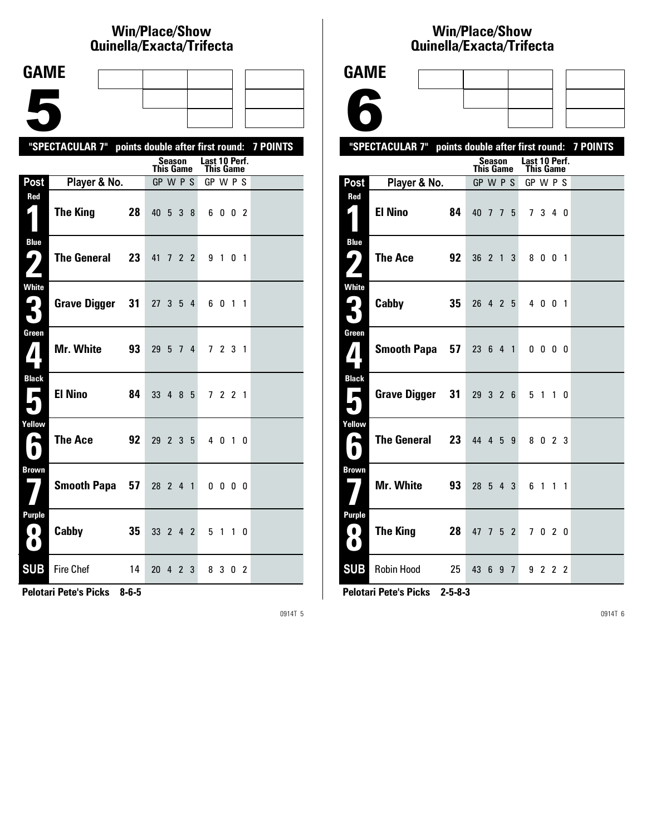# **Win/Place/Show Qui nel la/Exacta/Tri fecta**

| <b>GAME</b>                     |                                                           |                |                       |        |           |   |                       |              |                   |  |
|---------------------------------|-----------------------------------------------------------|----------------|-----------------------|--------|-----------|---|-----------------------|--------------|-------------------|--|
|                                 |                                                           |                |                       |        |           |   |                       |              |                   |  |
|                                 |                                                           |                |                       |        |           |   |                       |              |                   |  |
|                                 |                                                           |                |                       |        |           |   |                       |              |                   |  |
|                                 | "SPECTACULAR 7" points double after first round: 7 POINTS |                |                       | Season |           |   | Last 10 Perf.         |              |                   |  |
| Post                            | Player & No.                                              |                | This Game<br>GP W P S |        |           |   | This Game<br>GP W P S |              |                   |  |
| Red                             |                                                           |                |                       |        |           |   |                       |              |                   |  |
| $\boldsymbol{\zeta}$ )          | <b>The King</b>                                           | 28             | 40 5 3 8              |        |           |   |                       | 6002         |                   |  |
| <b>Blue</b><br>ر ما             | The General                                               | 23             | 41 7 2 2              |        |           |   |                       | 9 1 0 1      |                   |  |
|                                 |                                                           |                |                       |        |           |   |                       |              |                   |  |
| <b>White</b><br>$\mathbf{P}$    | Grave Digger                                              | 31             | 27                    |        | $3\quad5$ | 4 |                       | 6 0 1 1      |                   |  |
| $\blacksquare$                  |                                                           |                |                       |        |           |   |                       |              |                   |  |
| Green                           | <b>Mr. White</b>                                          | 93             | 29                    | 5      | 74        |   |                       | 7 2 3 1      |                   |  |
| <b>Black</b><br><b>E</b>        | <b>El Nino</b>                                            | 84             | 33 4 8 5              |        |           |   |                       | 7 2 2 1      |                   |  |
| Yellow<br>A                     | <b>The Ace</b>                                            | 92             | 29 2 3 5              |        |           |   |                       | 4 0 1 0      |                   |  |
| <b>Brown</b>                    |                                                           | Smooth Papa 57 | 28 2 4 1              |        |           |   |                       | $0\,0\,0\,0$ |                   |  |
| <b>Purple</b><br>O<br>$\bullet$ | Cabby                                                     | 35             | 33 2 4 2              |        |           |   |                       | 5 1          | $1\quad$ $\Omega$ |  |
| <b>SUB</b>                      | Fire Chef                                                 | 14             | 20 4 2 3              |        |           |   |                       | 8 3 0 2      |                   |  |

**Pelotari Pete's Picks 8-6-5**

0914T 5

## **Win/Place/Show Qui nel la/Exacta/Tri fecta**

| <b>GAME</b>                                                            |                                                           |    |                     |   |                            |                |  |
|------------------------------------------------------------------------|-----------------------------------------------------------|----|---------------------|---|----------------------------|----------------|--|
|                                                                        |                                                           |    |                     |   |                            |                |  |
|                                                                        |                                                           |    |                     |   |                            |                |  |
|                                                                        | "SPECTACULAR 7" points double after first round: 7 POINTS |    |                     |   |                            |                |  |
|                                                                        |                                                           |    | Season<br>This Game |   | Last 10 Perf.<br>This Game |                |  |
| Post                                                                   | Player & No.                                              |    | GP W P S            |   | GP W P S                   |                |  |
| Red<br>$\blacksquare$                                                  | <b>El Nino</b>                                            | 84 | 40 7 7 5            |   | 7 3 4 0                    |                |  |
| <b>Blue</b><br>9)                                                      | The Ace                                                   | 92 | 36 2 1 3            |   | 8001                       |                |  |
| <b>White</b><br>ر ما<br>51                                             | Cabby                                                     | 35 | 26 4 2 5            |   | 4 0 0 1                    |                |  |
| Green<br>$\boldsymbol{I}$                                              | <b>Smooth Papa</b>                                        | 57 | 23 6 4 1            |   | $0\,0\,0\,0$               |                |  |
| <b>Black</b><br>$\mathbf{r}$                                           | <b>Grave Digger</b>                                       | 31 | 29326               |   | 5 1 1 0                    |                |  |
| Yellow<br>L                                                            | <b>The General</b>                                        | 23 | 44 4 5              | 9 | 8 0 2 3                    |                |  |
| <b>Brown</b>                                                           | Mr. White                                                 | 93 | $28 \t5 \t4 \t3$    |   | 6<br>$1\quad1$             | $\overline{1}$ |  |
| Purple<br>$\left( \begin{array}{c} 0 \end{array} \right)$<br>$\bullet$ | The King                                                  | 28 | 47 7 5 2            |   | 7020                       |                |  |
| <b>SUB</b>                                                             | <b>Robin Hood</b>                                         | 25 | 43 6 9 7            |   | 9 2 2 2                    |                |  |

**Pelotari Pete's Picks 2-5-8-3**